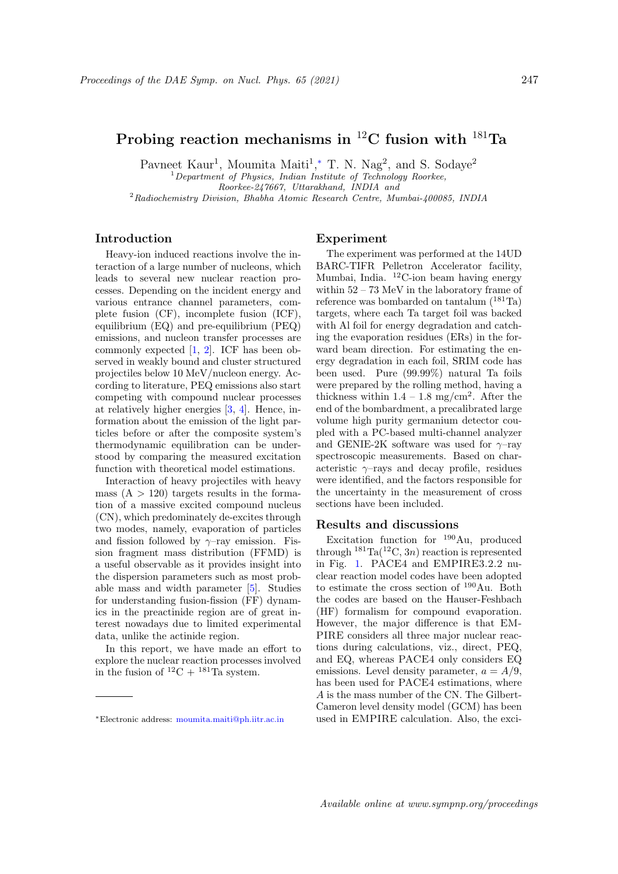# Probing reaction mechanisms in  ${}^{12}$ C fusion with  ${}^{181}$ Ta

Pavneet Kaur<sup>1</sup>, Moumita Maiti<sup>1</sup>,\* T. N. Nag<sup>2</sup>, and S. Sodaye<sup>2</sup>  $1$ Department of Physics, Indian Institute of Technology Roorkee, Roorkee-247667, Uttarakhand, INDIA and  $^{2}$ Radiochemistry Division, Bhabha Atomic Research Centre, Mumbai- $400085$ , INDIA

# Introduction

Heavy-ion induced reactions involve the interaction of a large number of nucleons, which leads to several new nuclear reaction processes. Depending on the incident energy and various entrance channel parameters, complete fusion (CF), incomplete fusion (ICF), equilibrium (EQ) and pre-equilibrium (PEQ) emissions, and nucleon transfer processes are commonly expected [1, 2]. ICF has been observed in weakly bound and cluster structured projectiles below 10 MeV/nucleon energy. According to literature, PEQ emissions also start competing with compound nuclear processes at relatively higher energies [3, 4]. Hence, information about the emission of the light particles before or after the composite system's thermodynamic equilibration can be understood by comparing the measured excitation function with theoretical model estimations.

Interaction of heavy projectiles with heavy mass  $(A > 120)$  targets results in the formation of a massive excited compound nucleus (CN), which predominately de-excites through two modes, namely, evaporation of particles and fission followed by  $\gamma$ –ray emission. Fission fragment mass distribution (FFMD) is a useful observable as it provides insight into the dispersion parameters such as most probable mass and width parameter [5]. Studies for understanding fusion-fission (FF) dynamics in the preactinide region are of great interest nowadays due to limited experimental data, unlike the actinide region.

In this report, we have made an effort to explore the nuclear reaction processes involved in the fusion of  ${}^{12}C + {}^{181}Ta$  system.

## Experiment

The experiment was performed at the 14UD BARC-TIFR Pelletron Accelerator facility, Mumbai, India. <sup>12</sup>C-ion beam having energy within 52 – 73 MeV in the laboratory frame of reference was bombarded on tantalum  $(^{181}Ta)$ targets, where each Ta target foil was backed with Al foil for energy degradation and catching the evaporation residues (ERs) in the forward beam direction. For estimating the energy degradation in each foil, SRIM code has been used. Pure (99.99%) natural Ta foils were prepared by the rolling method, having a thickness within  $1.4 - 1.8$  mg/cm<sup>2</sup>. After the end of the bombardment, a precalibrated large volume high purity germanium detector coupled with a PC-based multi-channel analyzer and GENIE-2K software was used for  $\gamma$ -ray spectroscopic measurements. Based on characteristic  $\gamma$ -rays and decay profile, residues were identified, and the factors responsible for the uncertainty in the measurement of cross sections have been included.

### Results and discussions

Excitation function for  $190\,\mathrm{Au}$ , produced through  $^{181}$ Ta( $^{12}$ C, 3n) reaction is represented in Fig. 1. PACE4 and EMPIRE3.2.2 nuclear reaction model codes have been adopted to estimate the cross section of <sup>190</sup>Au. Both the codes are based on the Hauser-Feshbach (HF) formalism for compound evaporation. However, the major difference is that EM-PIRE considers all three major nuclear reactions during calculations, viz., direct, PEQ, and EQ, whereas PACE4 only considers EQ emissions. Level density parameter,  $a = A/9$ , has been used for PACE4 estimations, where A is the mass number of the CN. The Gilbert-Cameron level density model (GCM) has been used in EMPIRE calculation. Also, the exci-

<sup>∗</sup>Electronic address: moumita.maiti@ph.iitr.ac.in